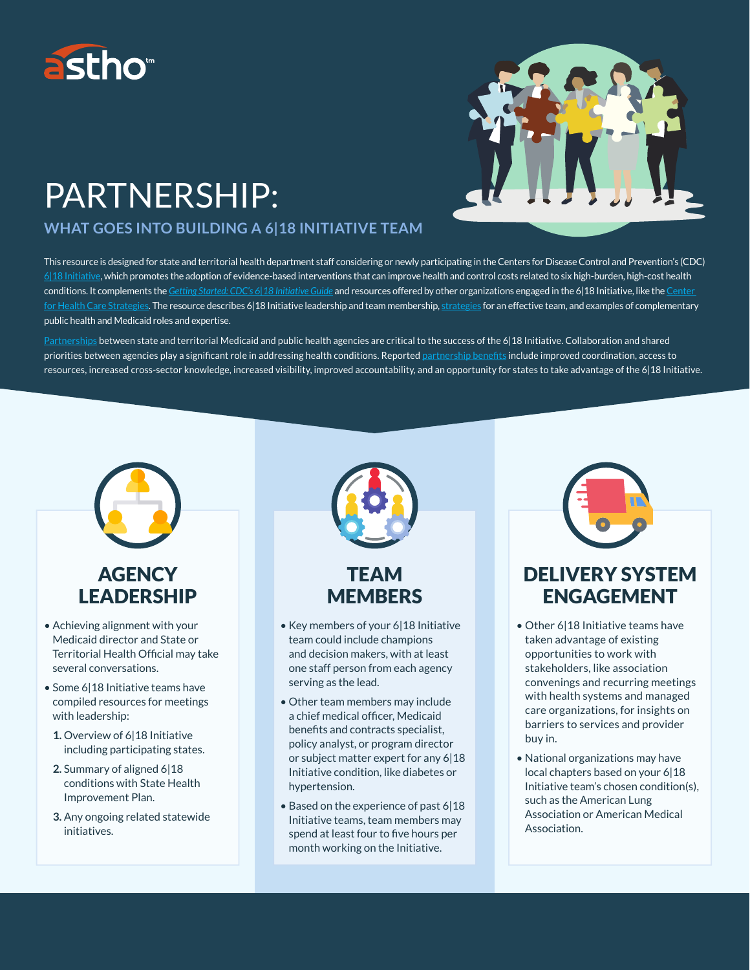

# PARTNERSHIP:

#### **WHAT GOES INTO BUILDING A 6|18 INITIATIVE TEAM**



This resource is designed for state and territorial health department staff considering or newly participating in the Centers for Disease Control and Prevention's (CDC) 6|18 Initiative, which promotes the adoption of evidence-based interventions that can improve health and control costs related to six high-burden, high-cost health conditions. It complements the *Getting Started: CDC's 6|18 Initiative Guide* and resources offered by other organizations engaged in the 6|18 Initiative, like the Center for Health Care Strategies. The resource describes 6|18 Initiative leadership and team membership, strategies for an effective team, and examples of complementary public health and Medicaid roles and expertise.

Partnerships between state and territorial Medicaid and public health agencies are critical to the success of the 6|18 Initiative. Collaboration and shared priorities between agencies play a significant role in addressing health conditions. Reported partnership benefits include improved coordination, access to resources, increased cross-sector knowledge, increased visibility, improved accountability, and an opportunity for states to take advantage of the 6|18 Initiative.

# **AGENCY** LEADERSHIP

- Achieving alignment with your Medicaid director and State or Territorial Health Official may take several conversations.
- Some 6|18 Initiative teams have compiled resources for meetings with leadership:
	- **1.** Overview of 6|18 Initiative including participating states.
	- **2.** Summary of aligned 6|18 conditions with State Health Improvement Plan.
	- **3.** Any ongoing related statewide initiatives.



- Key members of your 6|18 Initiative team could include champions and decision makers, with at least one staff person from each agency serving as the lead.
- Other team members may include a chief medical officer, Medicaid benefits and contracts specialist, policy analyst, or program director or subject matter expert for any 6|18 Initiative condition, like diabetes or hypertension.
- Based on the experience of past 6|18 Initiative teams, team members may spend at least four to five hours per month working on the Initiative.



## DELIVERY SYSTEM ENGAGEMENT

- Other 6|18 Initiative teams have taken advantage of existing opportunities to work with stakeholders, like association convenings and recurring meetings with health systems and managed care organizations, for insights on barriers to services and provider buy in.
- National organizations may have local chapters based on your 6|18 Initiative team's chosen condition(s), such as the American Lung Association or American Medical Association.